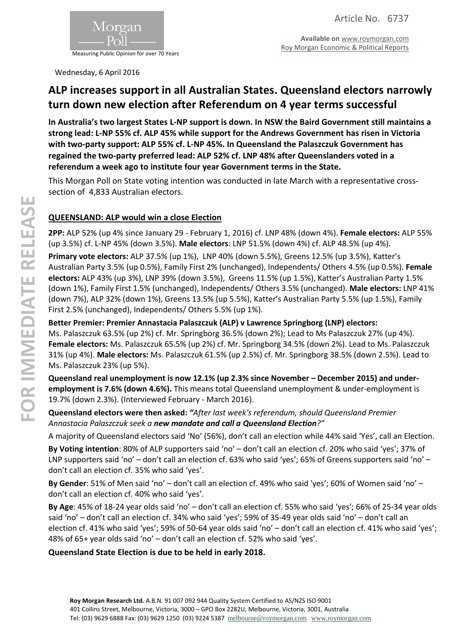

**Available on** [www.roymorgan.com](http://www.roymorgan.com/) [Roy Morgan Economic & Political Reports](http://www.roymorganonlinestore.com/Browse/Australia/Economic,-Political-and-Social.aspx)

Wednesday, 6 April 2016

# **ALP increases support in all Australian States. Queensland electors narrowly turn down new election after Referendum on 4 year terms successful**

**In Australia's two largest States L-NP support is down. In NSW the Baird Government still maintains a strong lead: L-NP 55% cf. ALP 45% while support for the Andrews Government has risen in Victoria with two-party support: ALP 55% cf. L-NP 45%. In Queensland the Palaszczuk Government has regained the two-party preferred lead: ALP 52% cf. LNP 48% after Queenslanders voted in a referendum a week ago to institute four year Government terms in the State.**

This Morgan Poll on State voting intention was conducted in late March with a representative crosssection of 4,833 Australian electors.

### **QUEENSLAND: ALP would win a close Election**

**2PP:** ALP 52% (up 4% since January 29 - February 1, 2016) cf. LNP 48% (down 4%). **Female electors:** ALP 55% (up 3.5%) cf. L-NP 45% (down 3.5%). **Male electors**: LNP 51.5% (down 4%) cf. ALP 48.5% (up 4%).

**Primary vote electors:** ALP 37.5% (up 1%), LNP 40% (down 5.5%), Greens 12.5% (up 3.5%), Katter's Australian Party 3.5% (up 0.5%), Family First 2% (unchanged), Independents/ Others 4.5% (up 0.5%). **Female electors:** ALP 43% (up 3%), LNP 39% (down 3.5%), Greens 11.5% (up 1.5%), Katter's Australian Party 1.5% (down 1%), Family First 1.5% (unchanged), Independents/ Others 3.5% (unchanged). **Male electors:** LNP 41% (down 7%), ALP 32% (down 1%), Greens 13.5% (up 5.5%), Katter's Australian Party 5.5% (up 1.5%), Family First 2.5% (unchanged), Independents/ Others 5.5% (up 1%).

**Better Premier: Premier Annastacia Palaszczuk (ALP) v Lawrence Springborg (LNP) electors:** Ms. Palaszczuk 63.5% (up 2%) cf. Mr. Springborg 36.5% (down 2%); Lead to Ms Palaszczuk 27% (up 4%). **Female electors:** Ms. Palaszczuk 65.5% (up 2%) cf. Mr. Springborg 34.5% (down 2%). Lead to Ms. Palaszczuk 31% (up 4%). **Male electors:** Ms. Palaszczuk 61.5% (up 2.5%) cf. Mr. Springborg 38.5% (down 2.5%). Lead to Ms. Palaszczuk 23% (up 5%).

**Queensland real unemployment is now 12.1% (up 2.3% since November – December 2015) and underemployment is 7.6% (down 4.6%).** This means total Queensland unemployment & under-employment is 19.7% (down 2.3%). (Interviewed February - March 2016).

### **Queensland electors were then asked:** *"After last week's referendum, should Queensland Premier Annastacia Palaszczuk seek a new mandate and call a Queensland Election?"*

A majority of Queensland electors said 'No' (56%), don't call an election while 44% said 'Yes', call an Election.

**By Voting intention**: 80% of ALP supporters said 'no' – don't call an election cf. 20% who said 'yes'; 37% of LNP supporters said 'no' – don't call an election cf. 63% who said 'yes'; 65% of Greens supporters said 'no' – don't call an election cf. 35% who said 'yes'.

**By Gender**: 51% of Men said 'no' – don't call an election cf. 49% who said 'yes'; 60% of Women said 'no' – don't call an election cf. 40% who said 'yes'.

**By Age**: 45% of 18-24 year olds said 'no' – don't call an election cf. 55% who said 'yes'; 66% of 25-34 year olds said 'no' – don't call an election cf. 34% who said 'yes'; 59% of 35-49 year olds said 'no' – don't call an election cf. 41% who said 'yes'; 59% of 50-64 year olds said 'no' – don't call an election cf. 41% who said 'yes'; 48% of 65+ year olds said 'no' – don't call an election cf. 52% who said 'yes'.

### **Queensland State Election is due to be held in early 2018.**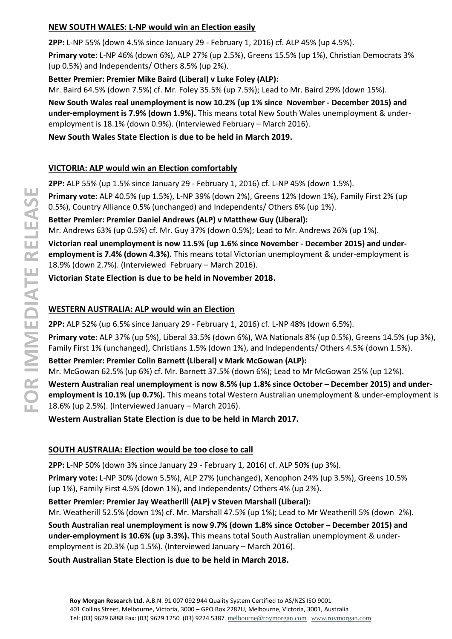### **NEW SOUTH WALES: L-NP would win an Election easily**

**2PP:** L-NP 55% (down 4.5% since January 29 - February 1, 2016) cf. ALP 45% (up 4.5%).

**Primary vote:** L-NP 46% (down 6%), ALP 27% (up 2.5%), Greens 15.5% (up 1%), Christian Democrats 3% (up 0.5%) and Independents/ Others 8.5% (up 2%).

**Better Premier: Premier Mike Baird (Liberal) v Luke Foley (ALP):** Mr. Baird 64.5% (down 7.5%) cf. Mr. Foley 35.5% (up 7.5%); Lead to Mr. Baird 29% (down 15%).

**New South Wales real unemployment is now 10.2% (up 1% since November - December 2015) and under-employment is 7.9% (down 1.9%).** This means total New South Wales unemployment & underemployment is 18.1% (down 0.9%). (Interviewed February – March 2016).

**New South Wales State Election is due to be held in March 2019.**

# **VICTORIA: ALP would win an Election comfortably**

**2PP:** ALP 55% (up 1.5% since January 29 - February 1, 2016) cf. L-NP 45% (down 1.5%).

**Primary vote:** ALP 40.5% (up 1.5%), L-NP 39% (down 2%), Greens 12% (down 1%), Family First 2% (up 0.5%), Country Alliance 0.5% (unchanged) and Independents/ Others 6% (up 1%).

**Better Premier: Premier Daniel Andrews (ALP) v Matthew Guy (Liberal):**

Mr. Andrews 63% (up 0.5%) cf. Mr. Guy 37% (down 0.5%); Lead to Mr. Andrews 26% (up 1%).

**Victorian real unemployment is now 11.5% (up 1.6% since November - December 2015) and underemployment is 7.4% (down 4.3%).** This means total Victorian unemployment & under-employment is 18.9% (down 2.7%). (Interviewed February – March 2016).

**Victorian State Election is due to be held in November 2018.**

# **WESTERN AUSTRALIA: ALP would win an Election**

**2PP:** ALP 52% (up 6.5% since January 29 - February 1, 2016) cf. L-NP 48% (down 6.5%).

**Primary vote:** ALP 37% (up 5%), Liberal 33.5% (down 6%), WA Nationals 8% (up 0.5%), Greens 14.5% (up 3%), Family First 1% (unchanged), Christians 1.5% (down 1%), and Independents/ Others 4.5% (down 1.5%).

**Better Premier: Premier Colin Barnett (Liberal) v Mark McGowan (ALP):** Mr. McGowan 62.5% (up 6%) cf. Mr. Barnett 37.5% (down 6%); Lead to Mr McGowan 25% (up 12%).

**Western Australian real unemployment is now 8.5% (up 1.8% since October – December 2015) and underemployment is 10.1% (up 0.7%).** This means total Western Australian unemployment & under-employment is 18.6% (up 2.5%). (Interviewed January – March 2016).

**Western Australian State Election is due to be held in March 2017.**

# **SOUTH AUSTRALIA: Election would be too close to call**

**2PP:** L-NP 50% (down 3% since January 29 - February 1, 2016) cf. ALP 50% (up 3%).

**Primary vote:** L-NP 30% (down 5.5%), ALP 27% (unchanged), Xenophon 24% (up 3.5%), Greens 10.5% (up 1%), Family First 4.5% (down 1%), and Independents/ Others 4% (up 2%).

**Better Premier: Premier Jay Weatherill (ALP) v Steven Marshall (Liberal):**

Mr. Weatherill 52.5% (down 1%) cf. Mr. Marshall 47.5% (up 1%); Lead to Mr Weatherill 5% (down 2%).

**South Australian real unemployment is now 9.7% (down 1.8% since October – December 2015) and under-employment is 10.6% (up 3.3%).** This means total South Australian unemployment & underemployment is 20.3% (up 1.5%). (Interviewed January – March 2016).

**South Australian State Election is due to be held in March 2018.**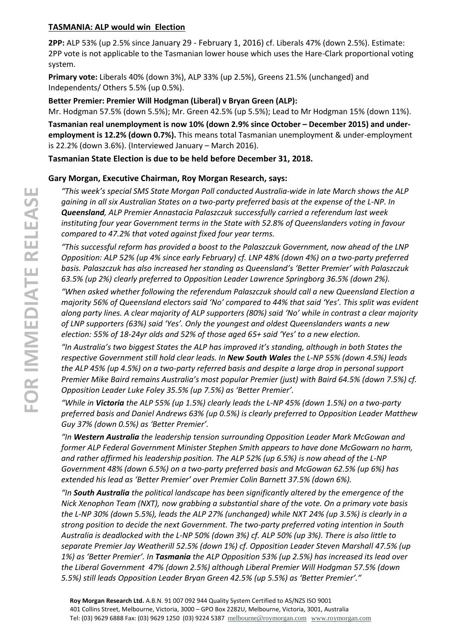#### **TASMANIA: ALP would win Election**

**2PP:** ALP 53% (up 2.5% since January 29 - February 1, 2016) cf. Liberals 47% (down 2.5%). Estimate: 2PP vote is not applicable to the Tasmanian lower house which uses the Hare-Clark proportional voting system.

**Primary vote:** Liberals 40% (down 3%), ALP 33% (up 2.5%), Greens 21.5% (unchanged) and Independents/ Others 5.5% (up 0.5%).

#### **Better Premier: Premier Will Hodgman (Liberal) v Bryan Green (ALP):**

Mr. Hodgman 57.5% (down 5.5%); Mr. Green 42.5% (up 5.5%); Lead to Mr Hodgman 15% (down 11%).

**Tasmanian real unemployment is now 10% (down 2.9% since October – December 2015) and underemployment is 12.2% (down 0.7%).** This means total Tasmanian unemployment & under-employment is 22.2% (down 3.6%). (Interviewed January – March 2016).

**Tasmanian State Election is due to be held before December 31, 2018.**

#### **Gary Morgan, Executive Chairman, Roy Morgan Research, says:**

*"This week's special SMS State Morgan Poll conducted Australia-wide in late March shows the ALP gaining in all six Australian States on a two-party preferred basis at the expense of the L-NP. In Queensland, ALP Premier Annastacia Palaszczuk successfully carried a referendum last week instituting four year Government terms in the State with 52.8% of Queenslanders voting in favour compared to 47.2% that voted against fixed four year terms.*

*"This successful reform has provided a boost to the Palaszczuk Government, now ahead of the LNP Opposition: ALP 52% (up 4% since early February) cf. LNP 48% (down 4%) on a two-party preferred basis. Palaszczuk has also increased her standing as Queensland's 'Better Premier' with Palaszczuk 63.5% (up 2%) clearly preferred to Opposition Leader Lawrence Springborg 36.5% (down 2%).*

*"When asked whether following the referendum Palaszczuk should call a new Queensland Election a majority 56% of Queensland electors said 'No' compared to 44% that said 'Yes'. This split was evident along party lines. A clear majority of ALP supporters (80%) said 'No' while in contrast a clear majority of LNP supporters (63%) said 'Yes'. Only the youngest and oldest Queenslanders wants a new election: 55% of 18-24yr olds and 52% of those aged 65+ said 'Yes' to a new election.*

*"In Australia's two biggest States the ALP has improved it's standing, although in both States the respective Government still hold clear leads. In New South Wales the L-NP 55% (down 4.5%) leads the ALP 45% (up 4.5%) on a two-party referred basis and despite a large drop in personal support Premier Mike Baird remains Australia's most popular Premier (just) with Baird 64.5% (down 7.5%) cf. Opposition Leader Luke Foley 35.5% (up 7.5%) as 'Better Premier'.*

*"While in Victoria the ALP 55% (up 1.5%) clearly leads the L-NP 45% (down 1.5%) on a two-party preferred basis and Daniel Andrews 63% (up 0.5%) is clearly preferred to Opposition Leader Matthew Guy 37% (down 0.5%) as 'Better Premier'.*

*"In Western Australia the leadership tension surrounding Opposition Leader Mark McGowan and former ALP Federal Government Minister Stephen Smith appears to have done McGowarn no harm, and rather affirmed his leadership position. The ALP 52% (up 6.5%) is now ahead of the L-NP Government 48% (down 6.5%) on a two-party preferred basis and McGowan 62.5% (up 6%) has extended his lead as 'Better Premier' over Premier Colin Barnett 37.5% (down 6%).*

*"In South Australia the political landscape has been significantly altered by the emergence of the Nick Xenophon Team (NXT), now grabbing a substantial share of the vote. On a primary vote basis the L-NP 30% (down 5.5%), leads the ALP 27% (unchanged) while NXT 24% (up 3.5%) is clearly in a strong position to decide the next Government. The two-party preferred voting intention in South Australia is deadlocked with the L-NP 50% (down 3%) cf. ALP 50% (up 3%). There is also little to separate Premier Jay Weatherill 52.5% (down 1%) cf. Opposition Leader Steven Marshall 47.5% (up 1%) as 'Better Premier'. In Tasmania the ALP Opposition 53% (up 2.5%) has increased its lead over the Liberal Government 47% (down 2.5%) although Liberal Premier Will Hodgman 57.5% (down 5.5%) still leads Opposition Leader Bryan Green 42.5% (up 5.5%) as 'Better Premier'."*